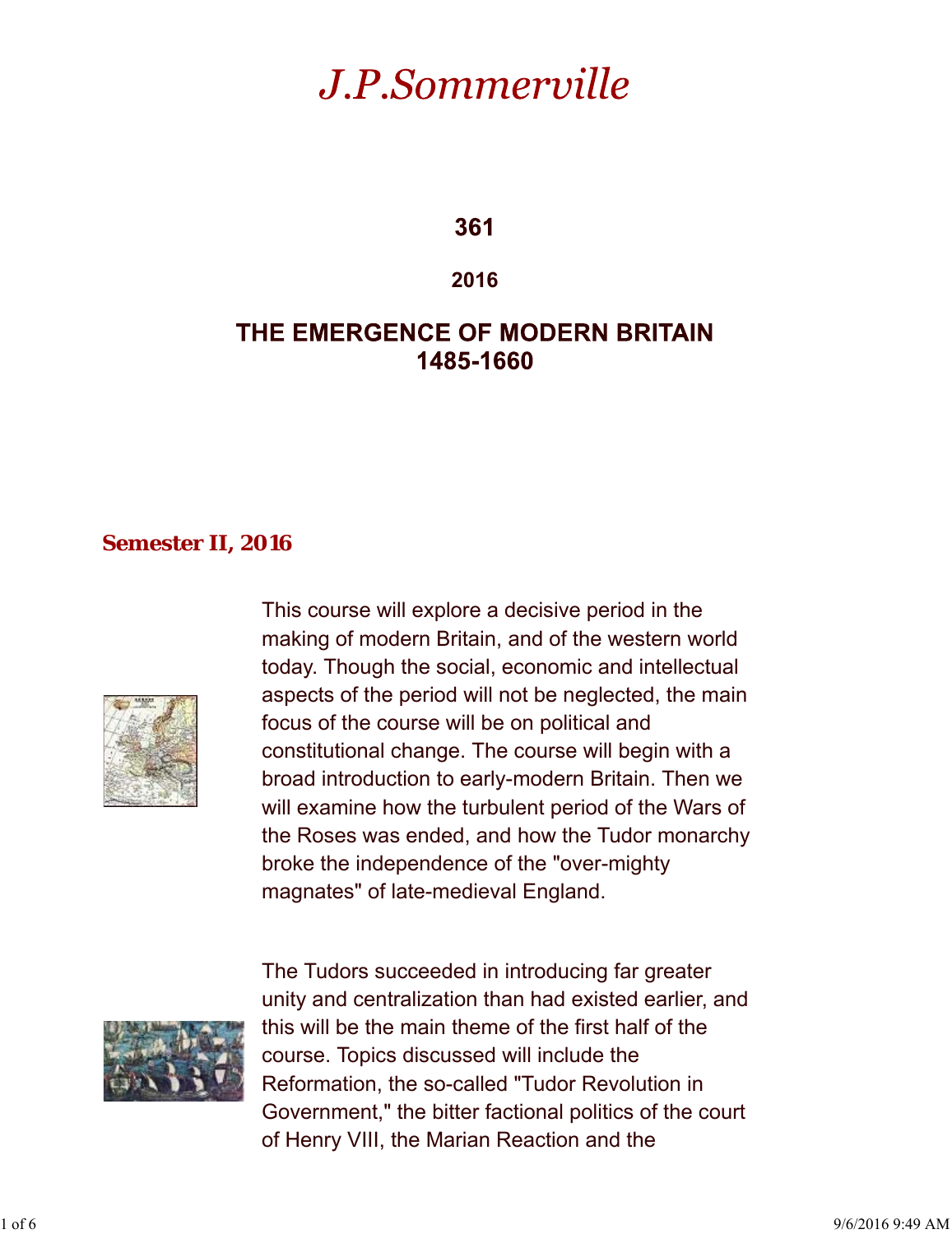# J.P.Sommerville

361

**2016**

# THE EMERGENCE OF MODERN BRITAIN 1485-1660

### **Semester II, 2016**



This course will explore a decisive period in the making of modern Britain, and of the western world today. Though the social, economic and intellectual aspects of the period will not be neglected, the main focus of the course will be on political and constitutional change. The course will begin with a broad introduction to early-modern Britain. Then we will examine how the turbulent period of the Wars of the Roses was ended, and how the Tudor monarchy broke the independence of the "over-mighty magnates" of late-medieval England.



The Tudors succeeded in introducing far greater unity and centralization than had existed earlier, and this will be the main theme of the first half of the course. Topics discussed will include the Reformation, the so-called "Tudor Revolution in Government," the bitter factional politics of the court of Henry VIII, the Marian Reaction and the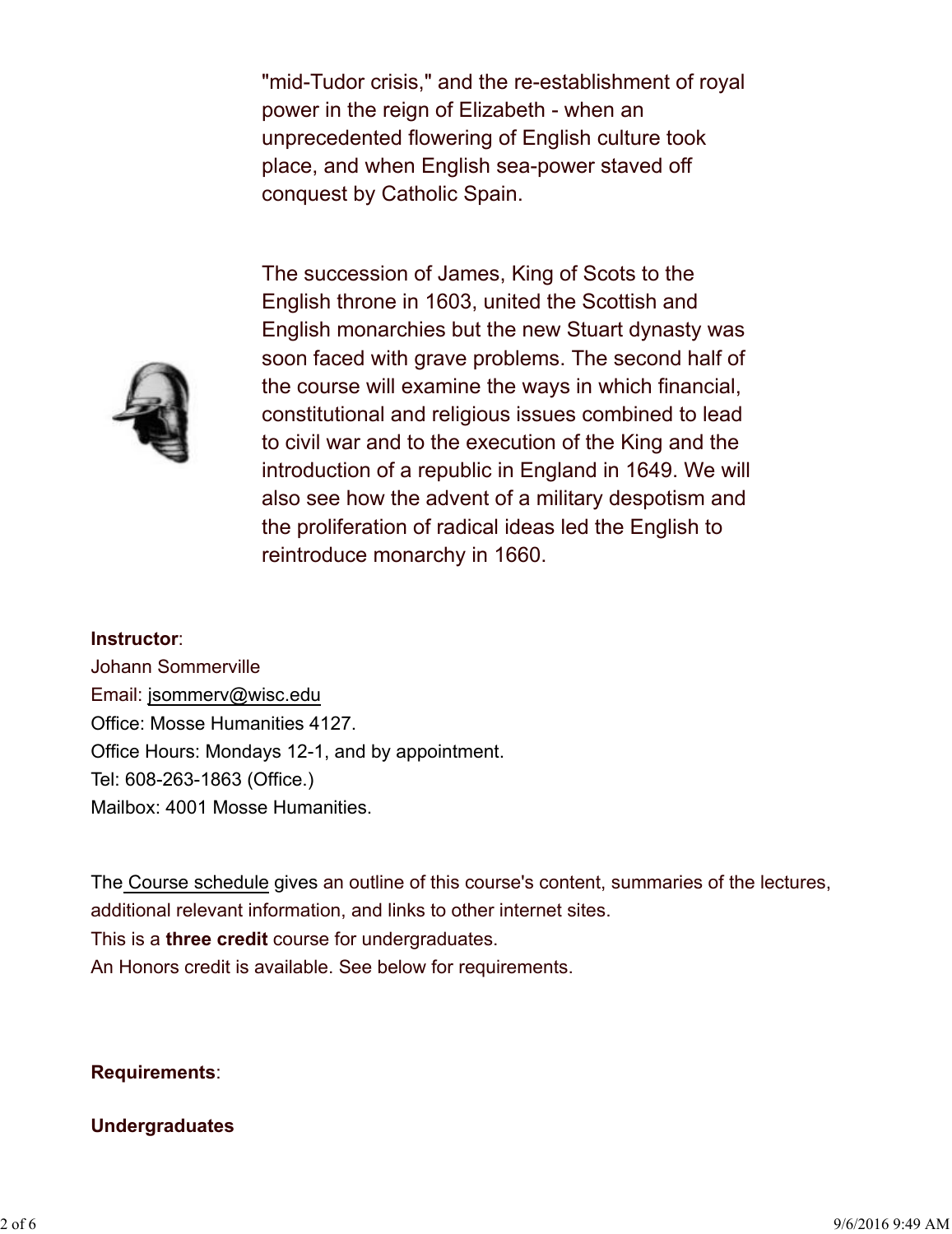"mid-Tudor crisis," and the re-establishment of royal power in the reign of Elizabeth - when an unprecedented flowering of English culture took place, and when English sea-power staved off conquest by Catholic Spain.



The succession of James, King of Scots to the English throne in 1603, united the Scottish and English monarchies but the new Stuart dynasty was soon faced with grave problems. The second half of the course will examine the ways in which financial, constitutional and religious issues combined to lead to civil war and to the execution of the King and the introduction of a republic in England in 1649. We will also see how the advent of a military despotism and the proliferation of radical ideas led the English to reintroduce monarchy in 1660.

#### **Instructor**:

Johann Sommerville Email: jsommerv@wisc.edu Office: Mosse Humanities 4127. Office Hours: Mondays 12-1, and by appointment. Tel: 608-263-1863 (Office.) Mailbox: 4001 Mosse Humanities.

The Course schedule gives an outline of this course's content, summaries of the lectures, additional relevant information, and links to other internet sites. This is a **three credit** course for undergraduates. An Honors credit is available. See below for requirements.

#### **Requirements**:

#### **Undergraduates**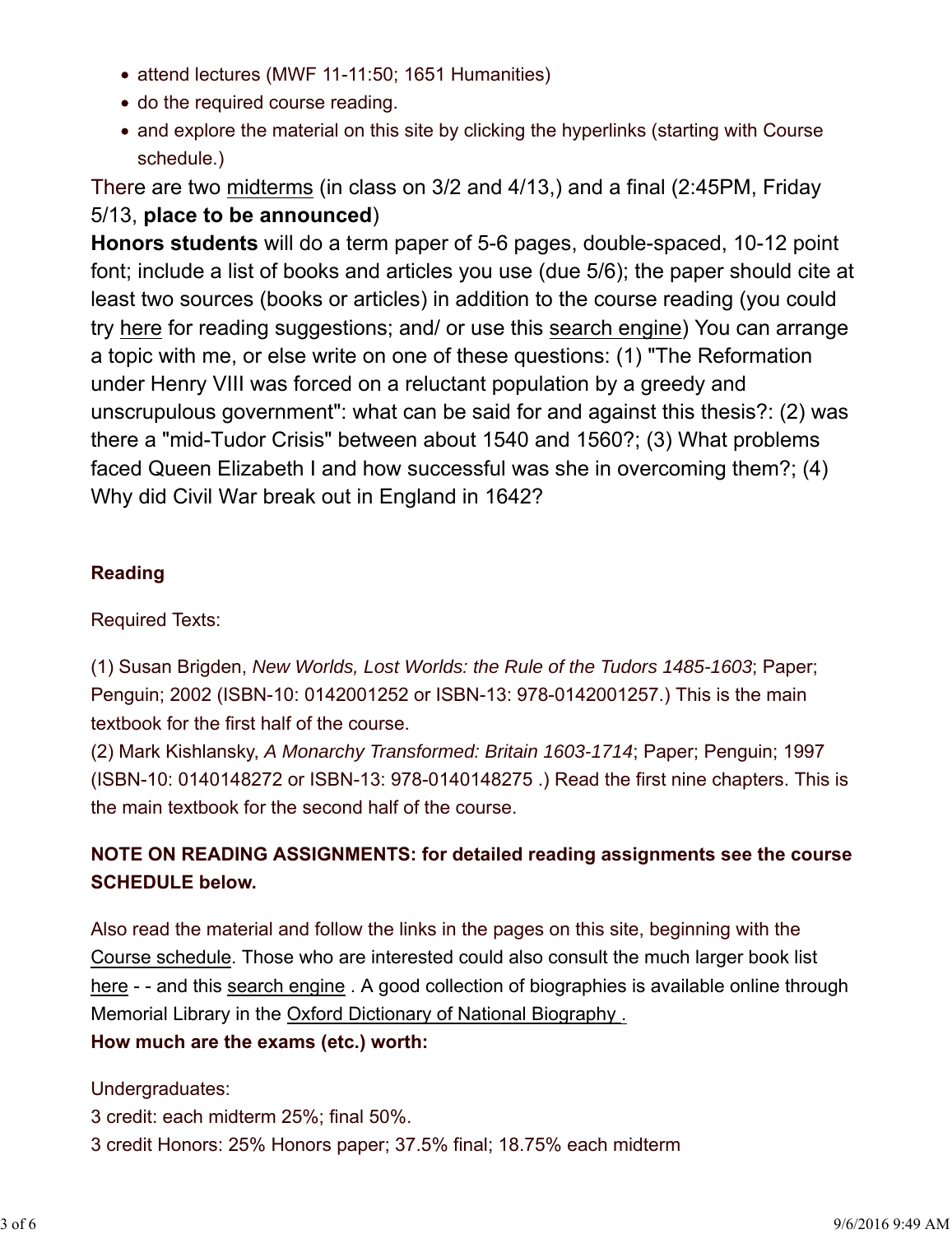- attend lectures (MWF 11-11:50; 1651 Humanities)
- do the required course reading.
- and explore the material on this site by clicking the hyperlinks (starting with Course schedule.)

There are two midterms (in class on 3/2 and 4/13,) and a final (2:45PM, Friday 5/13, **place to be announced**)

**Honors students** will do a term paper of 5-6 pages, double-spaced, 10-12 point font; include a list of books and articles you use (due 5/6); the paper should cite at least two sources (books or articles) in addition to the course reading (you could try here for reading suggestions; and/ or use this search engine) You can arrange a topic with me, or else write on one of these questions: (1) "The Reformation under Henry VIII was forced on a reluctant population by a greedy and unscrupulous government": what can be said for and against this thesis?: (2) was there a "mid-Tudor Crisis" between about 1540 and 1560?; (3) What problems faced Queen Elizabeth I and how successful was she in overcoming them?; (4) Why did Civil War break out in England in 1642?

#### **Reading**

#### Required Texts:

(1) Susan Brigden, *New Worlds, Lost Worlds: the Rule of the Tudors 1485-1603*; Paper; Penguin; 2002 (ISBN-10: 0142001252 or ISBN-13: 978-0142001257.) This is the main textbook for the first half of the course.

(2) Mark Kishlansky, *A Monarchy Transformed: Britain 1603-1714*; Paper; Penguin; 1997 (ISBN-10: 0140148272 or ISBN-13: 978-0140148275 .) Read the first nine chapters. This is the main textbook for the second half of the course.

## **NOTE ON READING ASSIGNMENTS: for detailed reading assignments see the course SCHEDULE below.**

Also read the material and follow the links in the pages on this site, beginning with the Course schedule. Those who are interested could also consult the much larger book list here - - and this search engine . A good collection of biographies is available online through Memorial Library in the Oxford Dictionary of National Biography .

#### **How much are the exams (etc.) worth:**

#### Undergraduates:

3 credit: each midterm 25%; final 50%. 3 credit Honors: 25% Honors paper; 37.5% final; 18.75% each midterm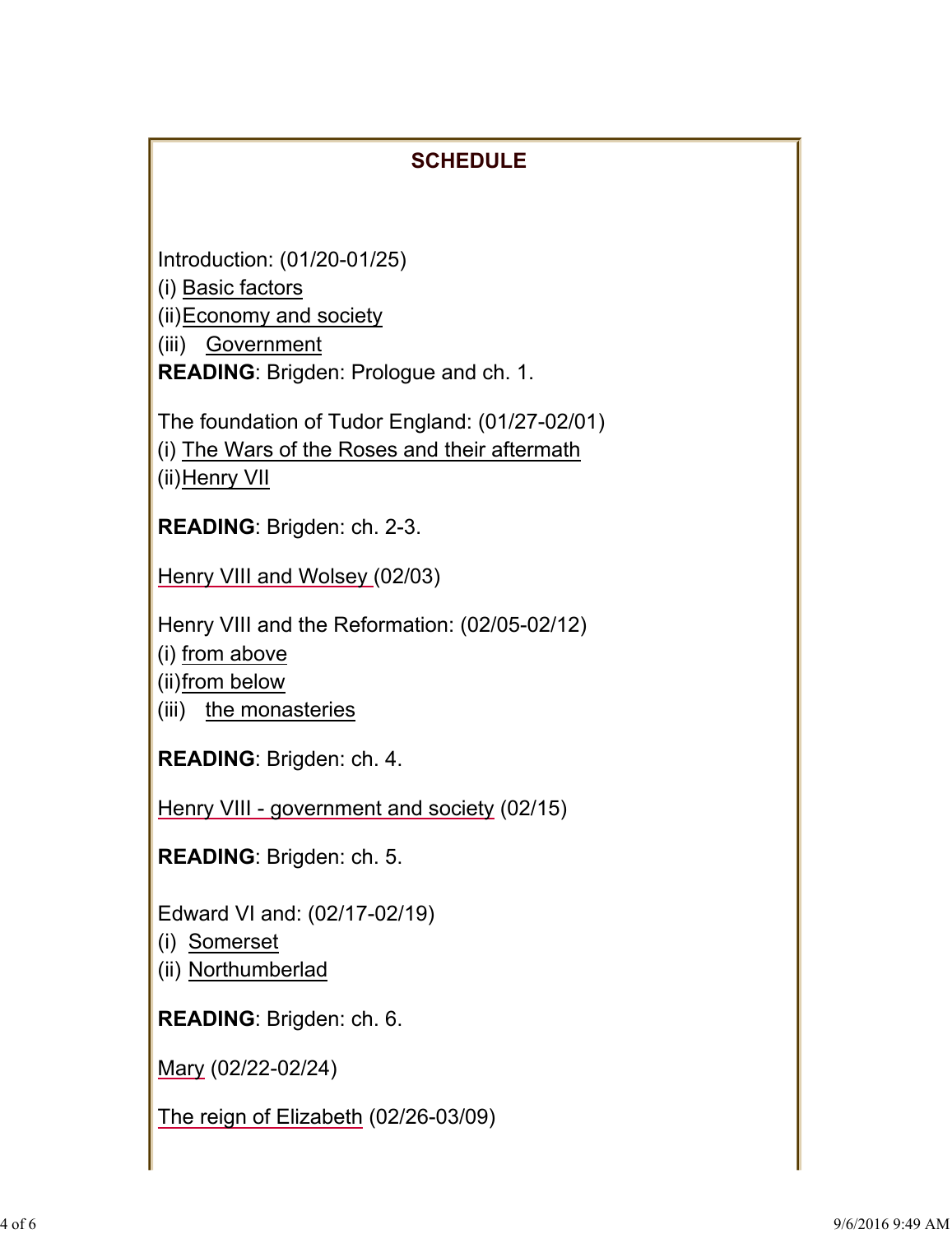# **SCHEDULE**

Introduction: (01/20-01/25)

(i) Basic factors

(ii)Economy and society

(iii) Government

**READING**: Brigden: Prologue and ch. 1.

The foundation of Tudor England: (01/27-02/01) (i) The Wars of the Roses and their aftermath

(ii)Henry VII

**READING**: Brigden: ch. 2-3.

Henry VIII and Wolsey (02/03)

Henry VIII and the Reformation: (02/05-02/12)

(i) from above

(ii)from below

(iii) the monasteries

**READING**: Brigden: ch. 4.

Henry VIII - government and society (02/15)

**READING**: Brigden: ch. 5.

Edward VI and: (02/17-02/19)

(i) Somerset

(ii) Northumberlad

**READING**: Brigden: ch. 6.

Mary (02/22-02/24)

The reign of Elizabeth (02/26-03/09)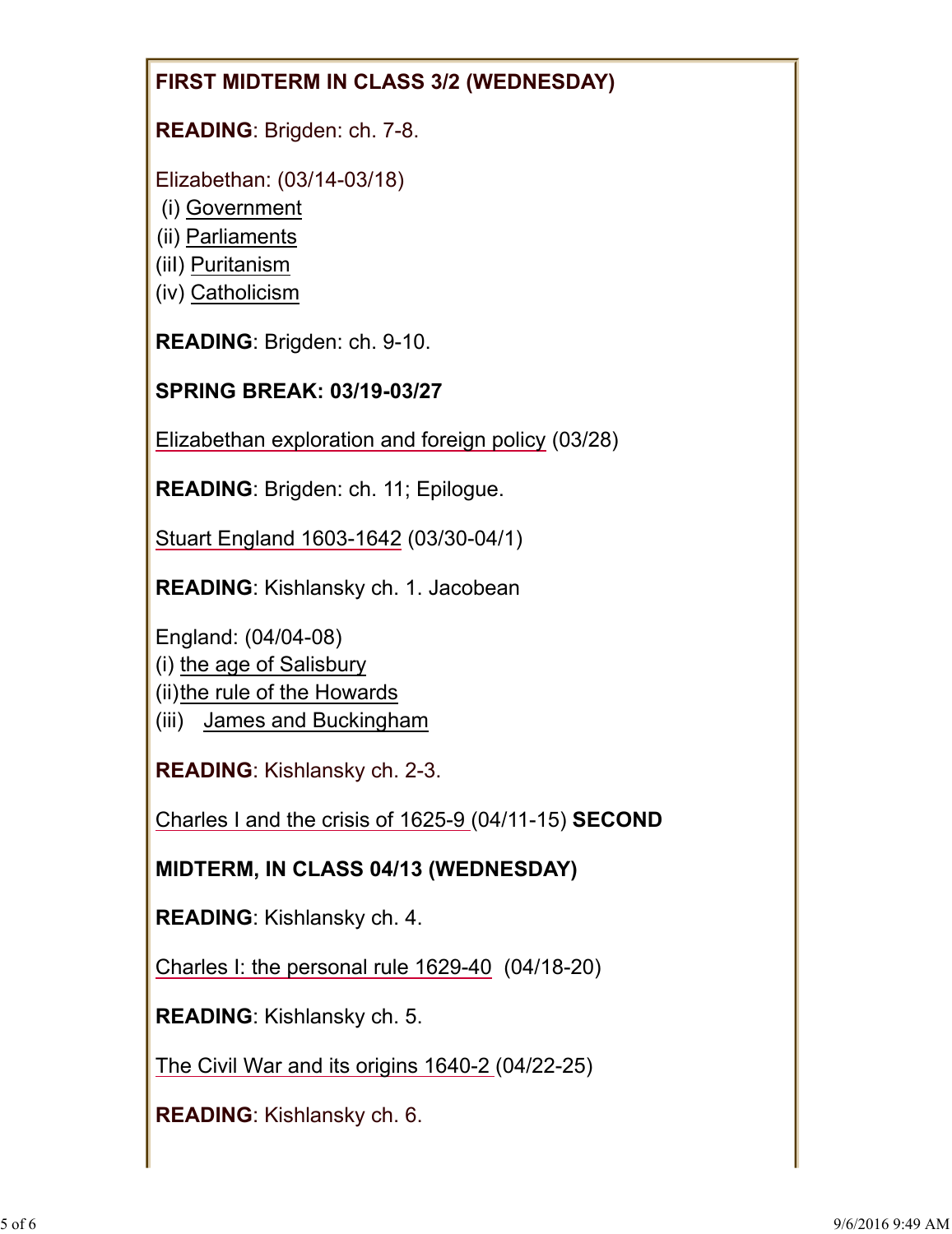## **FIRST MIDTERM IN CLASS 3/2 (WEDNESDAY)**

**READING**: Brigden: ch. 7-8.

Elizabethan: (03/14-03/18)

- (i) Government
- (ii) Parliaments
- (iiI) Puritanism
- (iv) Catholicism

**READING**: Brigden: ch. 9-10.

## **SPRING BREAK: 03/19-03/27**

Elizabethan exploration and foreign policy (03/28)

**READING**: Brigden: ch. 11; Epilogue.

Stuart England 1603-1642 (03/30-04/1)

**READING**: Kishlansky ch. 1. Jacobean

England: (04/04-08)

- (i) the age of Salisbury
- (ii)the rule of the Howards
- (iii) James and Buckingham

**READING**: Kishlansky ch. 2-3.

Charles I and the crisis of 1625-9 (04/11-15) **SECOND** 

**MIDTERM, IN CLASS 04/13 (WEDNESDAY)**

**READING**: Kishlansky ch. 4.

Charles I: the personal rule 1629-40 (04/18-20)

**READING**: Kishlansky ch. 5.

The Civil War and its origins 1640-2 (04/22-25)

**READING**: Kishlansky ch. 6.